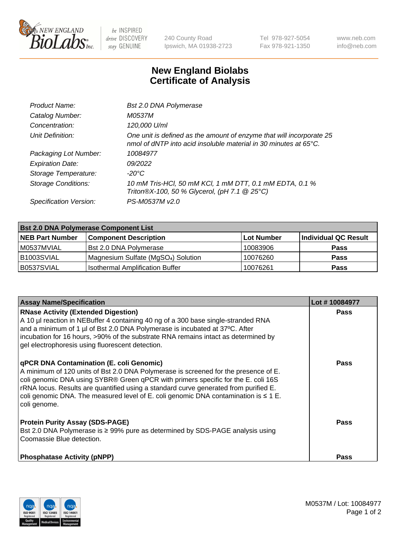

 $be$  INSPIRED drive DISCOVERY stay GENUINE

240 County Road Ipswich, MA 01938-2723 Tel 978-927-5054 Fax 978-921-1350 www.neb.com info@neb.com

## **New England Biolabs Certificate of Analysis**

| Bst 2.0 DNA Polymerase                                                                                                                   |
|------------------------------------------------------------------------------------------------------------------------------------------|
| <i>M0537M</i>                                                                                                                            |
| 120,000 U/ml                                                                                                                             |
| One unit is defined as the amount of enzyme that will incorporate 25<br>nmol of dNTP into acid insoluble material in 30 minutes at 65°C. |
| 10084977                                                                                                                                 |
| 09/2022                                                                                                                                  |
| -20°C                                                                                                                                    |
| 10 mM Tris-HCl, 50 mM KCl, 1 mM DTT, 0.1 mM EDTA, 0.1 %<br>Triton®X-100, 50 % Glycerol, (pH 7.1 @ 25°C)                                  |
| PS-M0537M v2.0                                                                                                                           |
|                                                                                                                                          |

| <b>Bst 2.0 DNA Polymerase Component List</b> |                                                 |            |                      |  |  |
|----------------------------------------------|-------------------------------------------------|------------|----------------------|--|--|
| <b>NEB Part Number</b>                       | <b>Component Description</b>                    | Lot Number | Individual QC Result |  |  |
| M0537MVIAL                                   | Bst 2.0 DNA Polymerase                          | 10083906   | <b>Pass</b>          |  |  |
| B <sub>1003</sub> SVIAL                      | Magnesium Sulfate (MgSO <sub>4</sub> ) Solution | 10076260   | <b>Pass</b>          |  |  |
| B0537SVIAL                                   | <b>Isothermal Amplification Buffer</b>          | 10076261   | <b>Pass</b>          |  |  |

| <b>Assay Name/Specification</b>                                                                                                                                                                                                                                                                                                                                                                                          | Lot #10084977 |
|--------------------------------------------------------------------------------------------------------------------------------------------------------------------------------------------------------------------------------------------------------------------------------------------------------------------------------------------------------------------------------------------------------------------------|---------------|
| <b>RNase Activity (Extended Digestion)</b><br>A 10 µl reaction in NEBuffer 4 containing 40 ng of a 300 base single-stranded RNA<br>and a minimum of 1 µl of Bst 2.0 DNA Polymerase is incubated at 37°C. After<br>incubation for 16 hours, >90% of the substrate RNA remains intact as determined by<br>gel electrophoresis using fluorescent detection.                                                                 | <b>Pass</b>   |
| qPCR DNA Contamination (E. coli Genomic)<br>A minimum of 120 units of Bst 2.0 DNA Polymerase is screened for the presence of E.<br>coli genomic DNA using SYBR® Green qPCR with primers specific for the E. coli 16S<br>rRNA locus. Results are quantified using a standard curve generated from purified E.<br>coli genomic DNA. The measured level of E. coli genomic DNA contamination is $\leq 1$ E.<br>coli genome. | <b>Pass</b>   |
| <b>Protein Purity Assay (SDS-PAGE)</b><br>Bst 2.0 DNA Polymerase is ≥ 99% pure as determined by SDS-PAGE analysis using<br>Coomassie Blue detection.                                                                                                                                                                                                                                                                     | Pass          |
| <b>Phosphatase Activity (pNPP)</b>                                                                                                                                                                                                                                                                                                                                                                                       | Pass          |